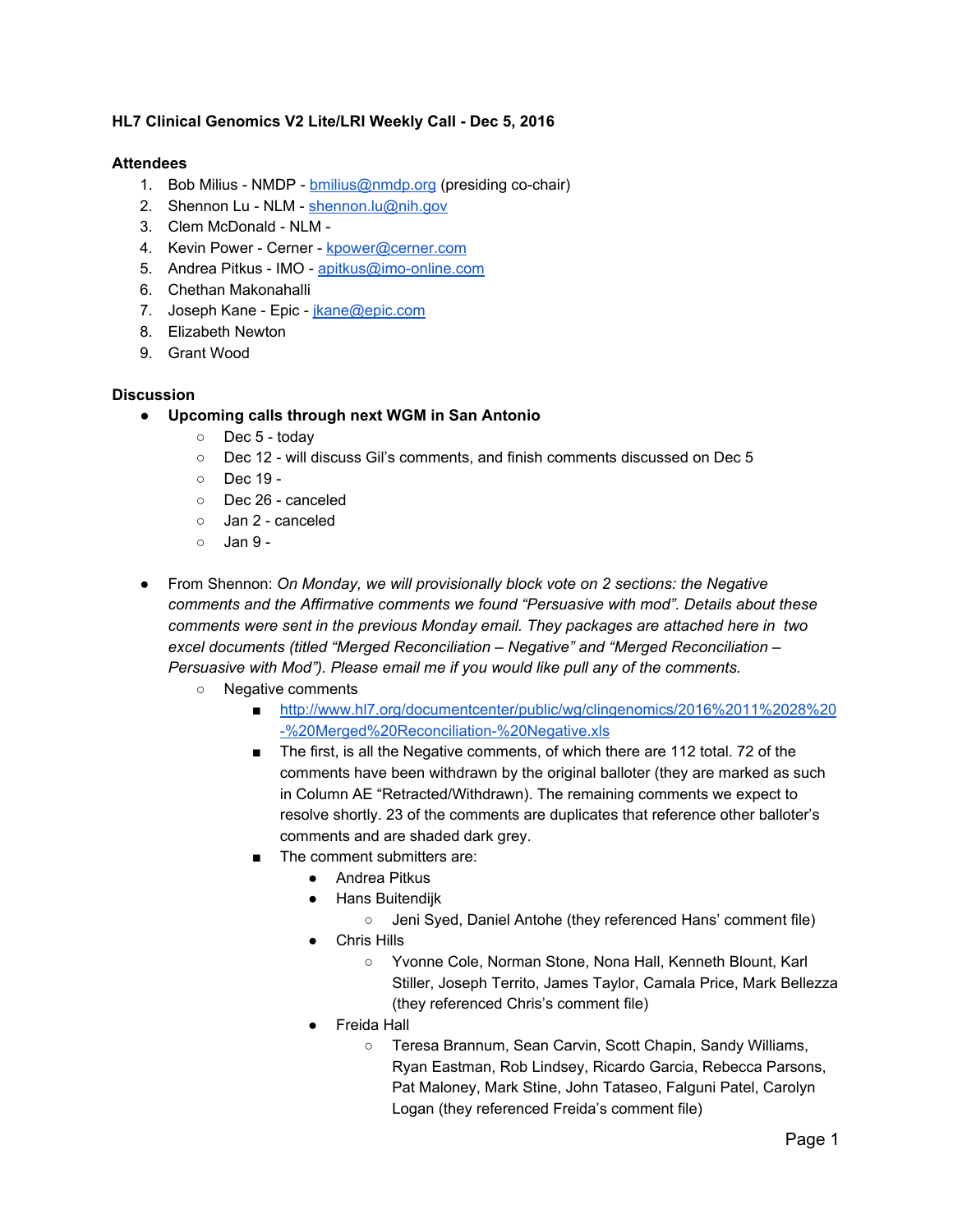## **HL7 Clinical Genomics V2 Lite/LRI Weekly Call - Dec 5, 2016**

## **Attendees**

- 1. Bob Milius NMDP [bmilius@nmdp.org](mailto:bmilius@nmdp.org) (presiding co-chair)
- 2. Shennon Lu NLM - [shennon.lu@nih.gov](mailto:shennon.lu@nih.gov)
- 3. Clem McDonald NLM -
- 4. Kevin Power Cerner - [kpower@cerner.com](mailto:kpower@cerner.com)
- 5. Andrea Pitkus IMO - [apitkus@imo-online.com](mailto:apitkus@imo-online.com)
- 6. Chethan Makonahalli
- 7. Joseph Kane Epic - [jkane@epic.com](mailto:jkane@epic.com)
- 8. Elizabeth Newton
- 9. Grant Wood

## **Discussion**

- **● Upcoming calls through next WGM in San Antonio**
	- Dec 5 today
	- Dec 12 will discuss Gil's comments, and finish comments discussed on Dec 5
	- Dec 19 -
	- Dec 26 canceled
	- Jan 2 canceled
	- $\circ$  Jan 9 -
- From Shennon: *On Monday, we will provisionally block vote on 2 sections: the Negative comments and the Affirmative comments we found "Persuasive with mod". Details about these comments were sent in the previous Monday email. They packages are attached here in two excel documents (titled "Merged Reconciliation – Negative" and "Merged Reconciliation – Persuasive with Mod"). Please email me if you would like pull any of the comments.*
	- Negative comments
		- [http://www.hl7.org/documentcenter/public/wg/clingenomics/2016%2011%2028%20](http://www.hl7.org/documentcenter/public/wg/clingenomics/2016%2011%2028%20-%20Merged%20Reconciliation-%20Negative.xls) [-%20Merged%20Reconciliation-%20Negative.xls](http://www.hl7.org/documentcenter/public/wg/clingenomics/2016%2011%2028%20-%20Merged%20Reconciliation-%20Negative.xls)
		- The first, is all the Negative comments, of which there are 112 total. 72 of the comments have been withdrawn by the original balloter (they are marked as such in Column AE "Retracted/Withdrawn). The remaining comments we expect to resolve shortly. 23 of the comments are duplicates that reference other balloter's comments and are shaded dark grey.
		- The comment submitters are:
			- Andrea Pitkus
			- Hans Buitendijk
				- Jeni Syed, Daniel Antohe (they referenced Hans' comment file)
			- Chris Hills
				- Yvonne Cole, Norman Stone, Nona Hall, Kenneth Blount, Karl Stiller, Joseph Territo, James Taylor, Camala Price, Mark Bellezza (they referenced Chris's comment file)
			- **Freida Hall** 
				- Teresa Brannum, Sean Carvin, Scott Chapin, Sandy Williams, Ryan Eastman, Rob Lindsey, Ricardo Garcia, Rebecca Parsons, Pat Maloney, Mark Stine, John Tataseo, Falguni Patel, Carolyn Logan (they referenced Freida's comment file)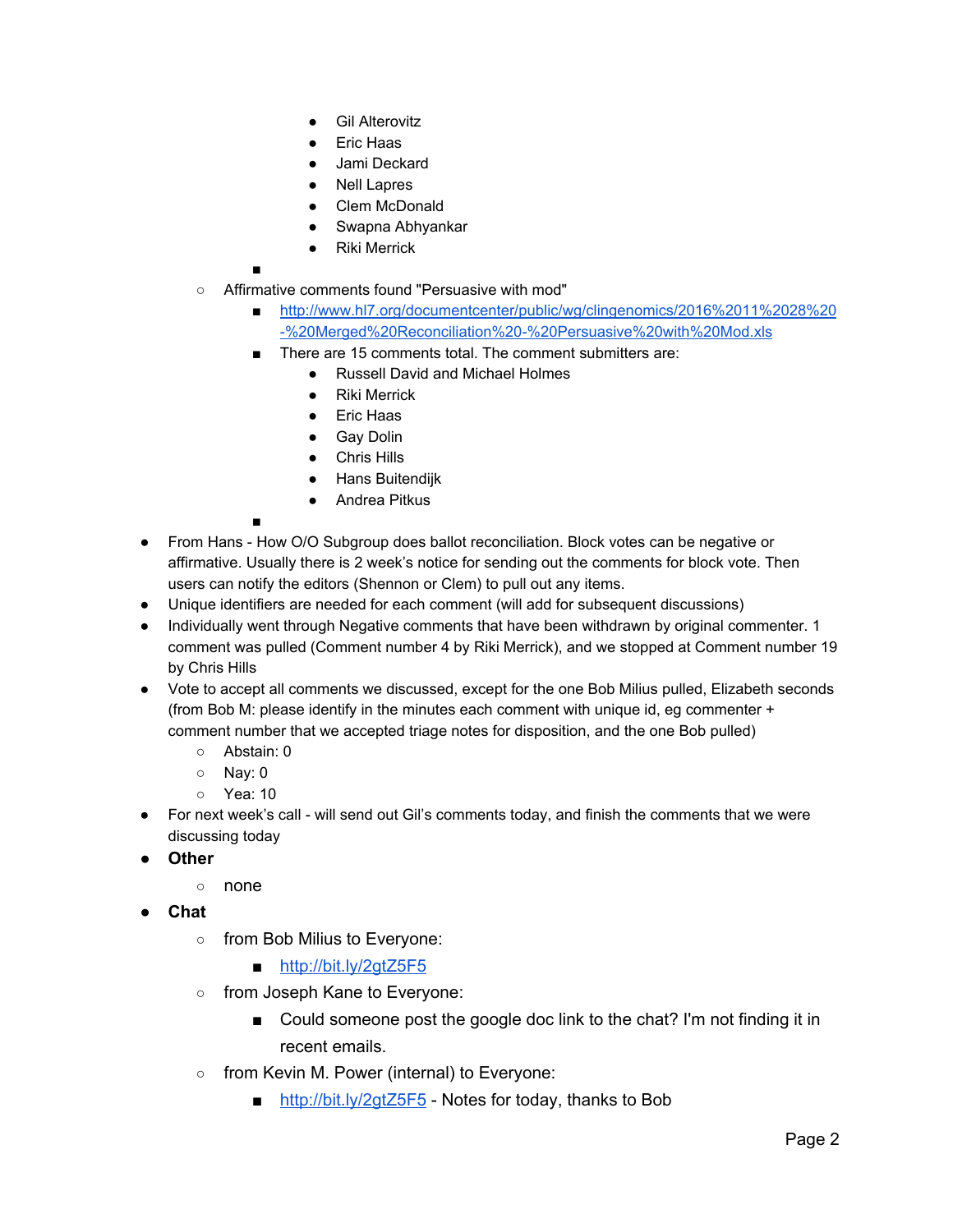- **Gil Alterovitz**
- **Eric Haas**
- Jami Deckard
- **Nell Lapres**
- **Clem McDonald**
- Swapna Abhyankar
- **Riki Merrick**
- ■
- Affirmative comments found "Persuasive with mod"
	- [http://www.hl7.org/documentcenter/public/wg/clingenomics/2016%2011%2028%20](http://www.hl7.org/documentcenter/public/wg/clingenomics/2016%2011%2028%20-%20Merged%20Reconciliation%20-%20Persuasive%20with%20Mod.xls) [-%20Merged%20Reconciliation%20-%20Persuasive%20with%20Mod.xls](http://www.hl7.org/documentcenter/public/wg/clingenomics/2016%2011%2028%20-%20Merged%20Reconciliation%20-%20Persuasive%20with%20Mod.xls)
	- There are 15 comments total. The comment submitters are:
		- Russell David and Michael Holmes
		- **Riki Merrick**
		- Eric Haas
		- Gay Dolin
		- Chris Hills
		- Hans Buitendijk
		- Andrea Pitkus
	- ■
- **●** From Hans How O/O Subgroup does ballot reconciliation. Block votes can be negative or affirmative. Usually there is 2 week's notice for sending out the comments for block vote. Then users can notify the editors (Shennon or Clem) to pull out any items.
- Unique identifiers are needed for each comment (will add for subsequent discussions)
- Individually went through Negative comments that have been withdrawn by original commenter. 1 comment was pulled (Comment number 4 by Riki Merrick), and we stopped at Comment number 19 by Chris Hills
- Vote to accept all comments we discussed, except for the one Bob Milius pulled, Elizabeth seconds (from Bob M: please identify in the minutes each comment with unique id, eg commenter + comment number that we accepted triage notes for disposition, and the one Bob pulled)
	- Abstain: 0
	- Nay: 0
	- Yea: 10
- For next week's call will send out Gil's comments today, and finish the comments that we were discussing today
- **● Other**
	- none
- **● Chat**
	- from Bob Milius to Everyone:
		- <http://bit.ly/2gtZ5F5>
	- o from Joseph Kane to Everyone:
		- Could someone post the google doc link to the chat? I'm not finding it in recent emails.
	- from Kevin M. Power (internal) to Everyone:
		- <http://bit.ly/2gtZ5F5> Notes for today, thanks to Bob